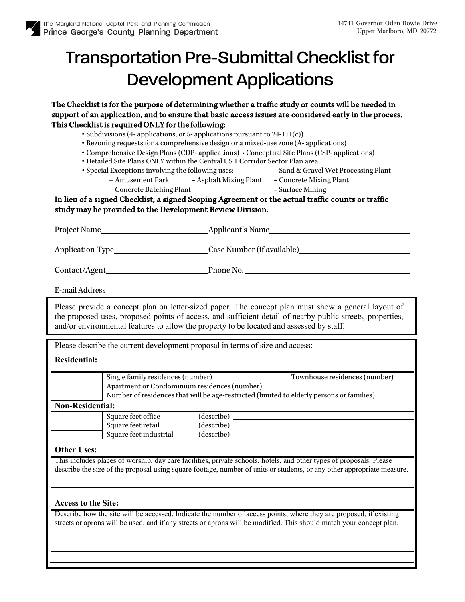